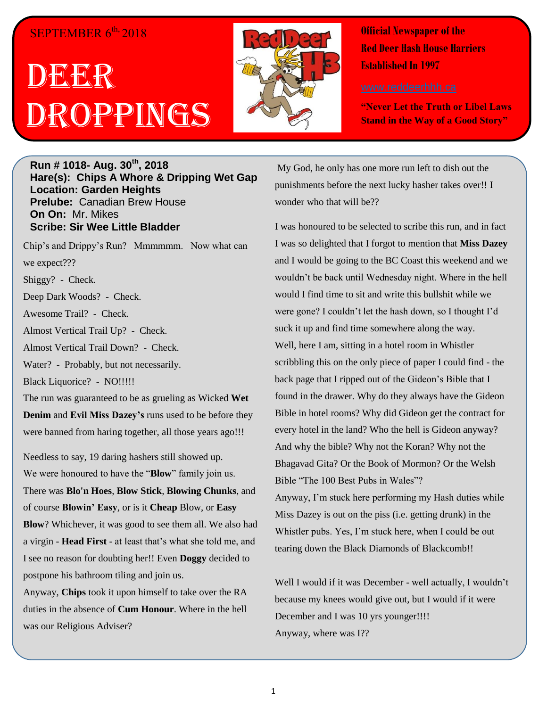## SEPTEMBER 6<sup>th,</sup> 2018

## DE<sup>e</sup>r Droppings



**Official Newspaper of the Red Deer Hash House Harriers Established In 1997** 

**"Never Let the Truth or Libel Laws Stand in the Way of a Good Story"**

## **Run # 1018- Aug. 30th, 2018 Hare(s): Chips A Whore & Dripping Wet Gap Location: Garden Heights Prelube:** Canadian Brew House **On On:** Mr. Mikes **Scribe: Sir Wee Little Bladder**

Chip's and Drippy's Run? Mmmmmm. Now what can we expect??? Shiggy? - Check. Deep Dark Woods? - Check.

Awesome Trail? - Check.

Almost Vertical Trail Up? - Check.

Almost Vertical Trail Down? - Check.

Water? - Probably, but not necessarily.

Black Liquorice? - NO!!!!!

The run was guaranteed to be as grueling as Wicked **Wet Denim** and **Evil Miss Dazey's** runs used to be before they were banned from haring together, all those years ago!!!

Needless to say, 19 daring hashers still showed up. We were honoured to have the "**Blow**" family join us. There was **Blo'n Hoes**, **Blow Stick**, **Blowing Chunks**, and of course **Blowin' Easy**, or is it **Cheap** Blow, or **Easy Blow**? Whichever, it was good to see them all. We also had a virgin - **Head First** - at least that's what she told me, and I see no reason for doubting her!! Even **Doggy** decided to postpone his bathroom tiling and join us.

Anyway, **Chips** took it upon himself to take over the RA duties in the absence of **Cum Honour**. Where in the hell was our Religious Adviser?

My God, he only has one more run left to dish out the punishments before the next lucky hasher takes over!! I wonder who that will be??

I was honoured to be selected to scribe this run, and in fact I was so delighted that I forgot to mention that **Miss Dazey**  and I would be going to the BC Coast this weekend and we wouldn't be back until Wednesday night. Where in the hell would I find time to sit and write this bullshit while we were gone? I couldn't let the hash down, so I thought I'd suck it up and find time somewhere along the way. Well, here I am, sitting in a hotel room in Whistler scribbling this on the only piece of paper I could find - the back page that I ripped out of the Gideon's Bible that I found in the drawer. Why do they always have the Gideon Bible in hotel rooms? Why did Gideon get the contract for every hotel in the land? Who the hell is Gideon anyway? And why the bible? Why not the Koran? Why not the Bhagavad Gita? Or the Book of Mormon? Or the Welsh Bible "The 100 Best Pubs in Wales"? Anyway, I'm stuck here performing my Hash duties while Miss Dazey is out on the piss (i.e. getting drunk) in the

Whistler pubs. Yes, I'm stuck here, when I could be out tearing down the Black Diamonds of Blackcomb!!

Well I would if it was December - well actually, I wouldn't because my knees would give out, but I would if it were December and I was 10 yrs younger!!!! Anyway, where was I??